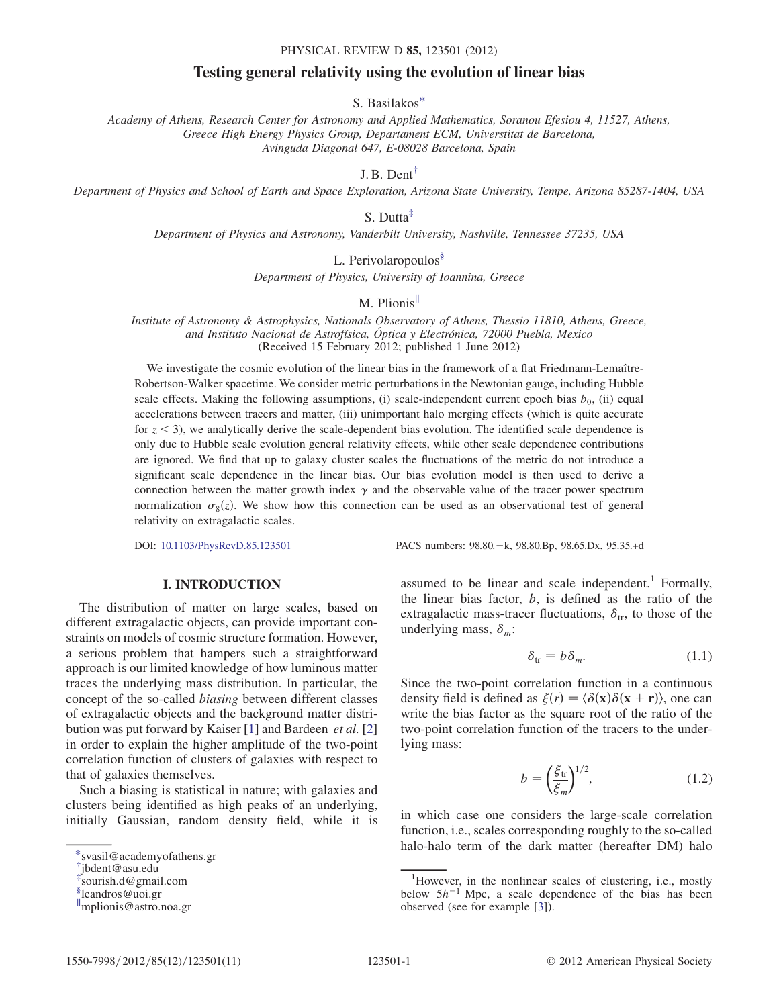#### PHYSICAL REVIEW D 85, 123501 (2012)

# Testing general relativity using the evolution of linear bias

## S. Basilako[s\\*](#page-0-0)

<span id="page-0-4"></span>Academy of Athens, Research Center for Astronomy and Applied Mathematics, Soranou Efesiou 4, 11527, Athens, Greece High Energy Physics Group, Departament ECM, Universtitat de Barcelona, Avinguda Diagonal 647, E-08028 Barcelona, Spain

J. B. Dent[†](#page-0-1)

<span id="page-0-7"></span><span id="page-0-6"></span><span id="page-0-5"></span>Department of Physics and School of Earth and Space Exploration, Arizona State University, Tempe, Arizona 85287-1404, USA

S. Dutta[‡](#page-0-2)

Department of Physics and Astronomy, Vanderbilt University, Nashville, Tennessee 37235, USA

L. Perivolaropoulos<sup>[§](#page-0-3)</sup>

Department of Physics, University of Ioannina, Greece

M. Plionis<sup>II</sup>

Institute of Astronomy & Astrophysics, Nationals Observatory of Athens, Thessio 11810, Athens, Greece, and Instituto Nacional de Astrofísica, Óptica y Electrónica, 72000 Puebla, Mexico (Received 15 February 2012; published 1 June 2012)

We investigate the cosmic evolution of the linear bias in the framework of a flat Friedmann-Lemaître-Robertson-Walker spacetime. We consider metric perturbations in the Newtonian gauge, including Hubble scale effects. Making the following assumptions, (i) scale-independent current epoch bias  $b_0$ , (ii) equal accelerations between tracers and matter, (iii) unimportant halo merging effects (which is quite accurate for  $z < 3$ ), we analytically derive the scale-dependent bias evolution. The identified scale dependence is only due to Hubble scale evolution general relativity effects, while other scale dependence contributions are ignored. We find that up to galaxy cluster scales the fluctuations of the metric do not introduce a significant scale dependence in the linear bias. Our bias evolution model is then used to derive a connection between the matter growth index  $\gamma$  and the observable value of the tracer power spectrum normalization  $\sigma_8(z)$ . We show how this connection can be used as an observational test of general relativity on extraordization scales relativity on extragalactic scales.

DOI: [10.1103/PhysRevD.85.123501](http://dx.doi.org/10.1103/PhysRevD.85.123501) PACS numbers: 98.80.k, 98.80.Bp, 98.65.Dx, 95.35.+d

## I. INTRODUCTION

The distribution of matter on large scales, based on different extragalactic objects, can provide important constraints on models of cosmic structure formation. However, a serious problem that hampers such a straightforward approach is our limited knowledge of how luminous matter traces the underlying mass distribution. In particular, the concept of the so-called biasing between different classes of extragalactic objects and the background matter distri-bution was put forward by Kaiser [\[1](#page-9-0)] and Bardeen *et al.* [\[2\]](#page-9-1) in order to explain the higher amplitude of the two-point correlation function of clusters of galaxies with respect to that of galaxies themselves.

Such a biasing is statistical in nature; with galaxies and clusters being identified as high peaks of an underlying, initially Gaussian, random density field, while it is

assumed to be linear and scale independent.<sup>1</sup> Formally, the linear bias factor,  $b$ , is defined as the ratio of the extragalactic mass-tracer fluctuations,  $\delta_{tr}$ , to those of the underlying mass,  $\delta_m$ :

$$
\delta_{\text{tr}} = b \delta_m. \tag{1.1}
$$

<span id="page-0-8"></span>Since the two-point correlation function in a continuous density field is defined as  $\xi(r) = \langle \delta(\mathbf{x})\delta(\mathbf{x} + \mathbf{r})\rangle$ , one can write the bias factor as the square root of the ratio of the two-point correlation function of the tracers to the underlying mass:

$$
b = \left(\frac{\xi_{\text{tr}}}{\xi_m}\right)^{1/2},\tag{1.2}
$$

in which case one considers the large-scale correlation function, i.e., scales corresponding roughly to the so-called halo-halo term of the dark matter (hereafter DM) halo [\\*s](#page-0-4)vasil@academyofathens.gr

<span id="page-0-0"></span>

<span id="page-0-1"></span>[<sup>†</sup>](#page-0-5) jbdent@asu.edu

<span id="page-0-2"></span>[<sup>‡</sup>](#page-0-6) sourish.d@gmail.com

<span id="page-0-3"></span>[<sup>§</sup>](#page-0-7) leandros@uoi.gr

k mplionis@astro.noa.gr

<sup>&</sup>lt;sup>1</sup>However, in the nonlinear scales of clustering, i.e., mostly below  $5h^{-1}$  Mpc, a scale dependence of the bias has been observed (see for example [[3\]](#page-9-2)).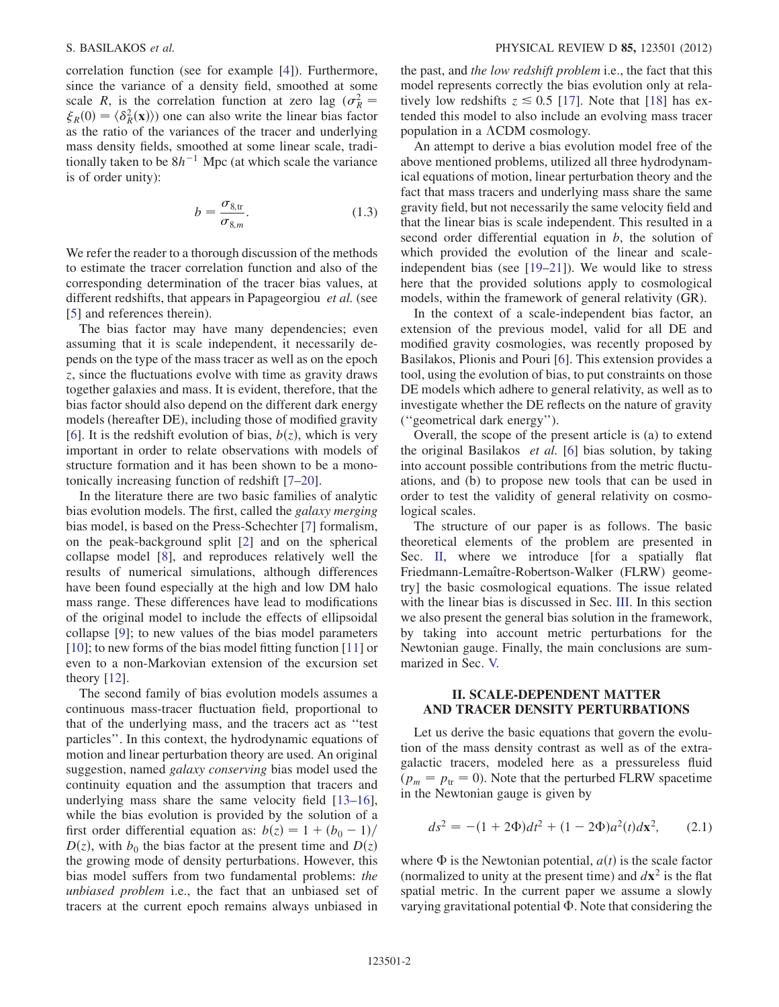correlation function (see for example [[4](#page-9-3)]). Furthermore, since the variance of a density field, smoothed at some scale R, is the correlation function at zero lag ( $\sigma_{\vec{k}}^2$ scare *K*, is the correlation function at zero lag ( $\sigma_R$  –<br> $\xi_R(0) = \langle \delta_R^2(\mathbf{x}) \rangle$ ) one can also write the linear bias factor<br>as the ratio of the variances of the tracer and underlying as the ratio of the variances of the tracer and underlying mass density fields, smoothed at some linear scale, traditionally taken to be  $8h^{-1}$  Mpc (at which scale the variance is of order unity):

$$
b = \frac{\sigma_{8,\text{tr}}}{\sigma_{8,m}}.\tag{1.3}
$$

<span id="page-1-1"></span>We refer the reader to a thorough discussion of the methods to estimate the tracer correlation function and also of the corresponding determination of the tracer bias values, at different redshifts, that appears in Papageorgiou et al. (see [\[5\]](#page-9-4) and references therein).

The bias factor may have many dependencies; even assuming that it is scale independent, it necessarily depends on the type of the mass tracer as well as on the epoch z, since the fluctuations evolve with time as gravity draws together galaxies and mass. It is evident, therefore, that the bias factor should also depend on the different dark energy models (hereafter DE), including those of modified gravity [\[6\]](#page-9-5). It is the redshift evolution of bias,  $b(z)$ , which is very important in order to relate observations with models of structure formation and it has been shown to be a monotonically increasing function of redshift [\[7](#page-9-6)–[20](#page-10-0)].

In the literature there are two basic families of analytic bias evolution models. The first, called the galaxy merging bias model, is based on the Press-Schechter [\[7](#page-9-6)] formalism, on the peak-background split [[2\]](#page-9-1) and on the spherical collapse model [\[8](#page-9-7)], and reproduces relatively well the results of numerical simulations, although differences have been found especially at the high and low DM halo mass range. These differences have lead to modifications of the original model to include the effects of ellipsoidal collapse [\[9\]](#page-9-8); to new values of the bias model parameters [\[10\]](#page-9-9); to new forms of the bias model fitting function [\[11\]](#page-9-10) or even to a non-Markovian extension of the excursion set theory [\[12\]](#page-10-1).

The second family of bias evolution models assumes a continuous mass-tracer fluctuation field, proportional to that of the underlying mass, and the tracers act as ''test particles''. In this context, the hydrodynamic equations of motion and linear perturbation theory are used. An original suggestion, named galaxy conserving bias model used the continuity equation and the assumption that tracers and underlying mass share the same velocity field [[13](#page-10-2)[–16\]](#page-10-3), while the bias evolution is provided by the solution of a first order differential equation as:  $b(z) = 1 + (b_0 - 1)$  $D(z)$ , with  $b_0$  the bias factor at the present time and  $D(z)$ the growing mode of density perturbations. However, this bias model suffers from two fundamental problems: the unbiased problem i.e., the fact that an unbiased set of tracers at the current epoch remains always unbiased in the past, and the low redshift problem i.e., the fact that this model represents correctly the bias evolution only at relatively low redshifts  $z \approx 0.5$  [\[17\]](#page-10-4). Note that [[18](#page-10-5)] has extended this model to also include an evolving mass tracer population in a  $\Lambda$ CDM cosmology.

An attempt to derive a bias evolution model free of the above mentioned problems, utilized all three hydrodynamical equations of motion, linear perturbation theory and the fact that mass tracers and underlying mass share the same gravity field, but not necessarily the same velocity field and that the linear bias is scale independent. This resulted in a second order differential equation in  $b$ , the solution of which provided the evolution of the linear and scaleindependent bias (see [\[19–](#page-10-6)[21](#page-10-7)]). We would like to stress here that the provided solutions apply to cosmological models, within the framework of general relativity (GR).

In the context of a scale-independent bias factor, an extension of the previous model, valid for all DE and modified gravity cosmologies, was recently proposed by Basilakos, Plionis and Pouri [\[6](#page-9-5)]. This extension provides a tool, using the evolution of bias, to put constraints on those DE models which adhere to general relativity, as well as to investigate whether the DE reflects on the nature of gravity (''geometrical dark energy'').

Overall, the scope of the present article is (a) to extend the original Basilakos et al. [\[6](#page-9-5)] bias solution, by taking into account possible contributions from the metric fluctuations, and (b) to propose new tools that can be used in order to test the validity of general relativity on cosmological scales.

The structure of our paper is as follows. The basic theoretical elements of the problem are presented in Sec. [II,](#page-1-0) where we introduce [for a spatially flat Friedmann-Lemaître-Robertson-Walker (FLRW) geometry] the basic cosmological equations. The issue related with the linear bias is discussed in Sec. [III.](#page-5-0) In this section we also present the general bias solution in the framework, by taking into account metric perturbations for the Newtonian gauge. Finally, the main conclusions are summarized in Sec. [V.](#page-8-0)

## <span id="page-1-0"></span>II. SCALE-DEPENDENT MATTER AND TRACER DENSITY PERTURBATIONS

Let us derive the basic equations that govern the evolution of the mass density contrast as well as of the extragalactic tracers, modeled here as a pressureless fluid  $(p_m = p_{tr} = 0)$ . Note that the perturbed FLRW spacetime in the Newtonian gauge is given by

$$
ds^{2} = -(1 + 2\Phi)dt^{2} + (1 - 2\Phi)a^{2}(t)dx^{2}, \qquad (2.1)
$$

where  $\Phi$  is the Newtonian potential,  $a(t)$  is the scale factor<br>(normalized to unity at the present time) and  $d\mathbf{x}^2$  is the flat (normalized to unity at the present time) and  $d\mathbf{x}^2$  is the flat spatial metric. In the current paper we assume a slowly varying gravitational potential  $\Phi$ . Note that considering the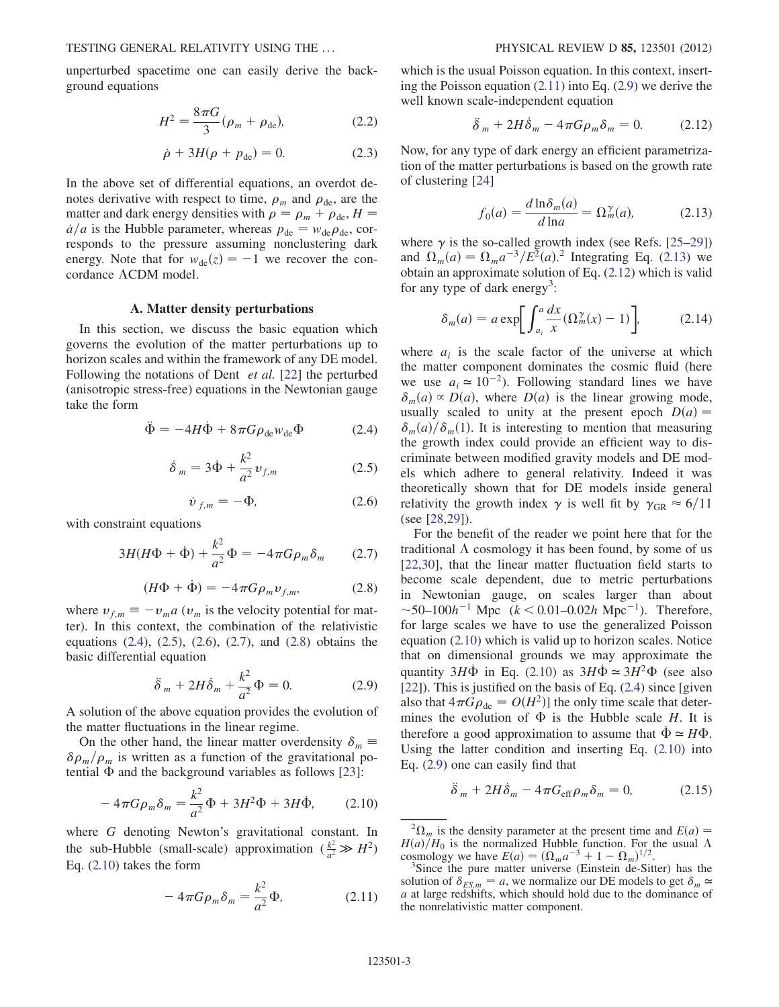unperturbed spacetime one can easily derive the background equations

$$
H^2 = \frac{8\pi G}{3} (\rho_m + \rho_{\text{de}}), \tag{2.2}
$$

$$
\dot{\rho} + 3H(\rho + p_{\text{de}}) = 0. \tag{2.3}
$$

In the above set of differential equations, an overdot denotes derivative with respect to time,  $\rho_m$  and  $\rho_{\text{de}}$ , are the matter and dark energy densities with  $\rho = \rho_m + \rho_{\text{de}}$ ,  $H =$  $\dot{a}/a$  is the Hubble parameter, whereas  $p_{de} = w_{de} \rho_{de}$ , corresponds to the pressure assuming nonclustering dark energy. Note that for  $w_{de}(z) = -1$  we recover the concordance  $\Lambda$ CDM model.

#### A. Matter density perturbations

In this section, we discuss the basic equation which governs the evolution of the matter perturbations up to horizon scales and within the framework of any DE model. Following the notations of Dent *et al.* [\[22\]](#page-10-8) the perturbed (anisotropic stress-free) equations in the Newtonian gauge take the form

<span id="page-2-2"></span><span id="page-2-1"></span>
$$
\ddot{\Phi} = -4H\dot{\Phi} + 8\pi G\rho_{\text{de}}w_{\text{de}}\Phi \qquad (2.4)
$$

$$
\dot{\delta}_m = 3\dot{\Phi} + \frac{k^2}{a^2} v_{f,m}
$$
 (2.5)

$$
\dot{v}_{f,m} = -\Phi,\tag{2.6}
$$

<span id="page-2-4"></span><span id="page-2-0"></span>with constraint equations

$$
3H(H\Phi + \dot{\Phi}) + \frac{k^2}{a^2}\Phi = -4\pi G\rho_m\delta_m \qquad (2.7)
$$

$$
(H\Phi + \dot{\Phi}) = -4\pi G\rho_m v_{f,m}, \qquad (2.8)
$$

<span id="page-2-7"></span><span id="page-2-3"></span>where  $v_{f,m} \equiv -v_{m} a$  ( $v_{m}$  is the velocity potential for mat-<br>ter). In this context, the combination of the relativistic ter). In this context, the combination of the relativistic equations [\(2.4\)](#page-2-0), [\(2.5\)](#page-2-1), [\(2.6\)](#page-2-2), [\(2.7\)](#page-2-3), and [\(2.8\)](#page-2-4) obtains the basic differential equation

$$
\ddot{\delta}_m + 2H\dot{\delta}_m + \frac{k^2}{a^2}\Phi = 0.
$$
 (2.9)

A solution of the above equation provides the evolution of the matter fluctuations in the linear regime.

<span id="page-2-5"></span>On the other hand, the linear matter overdensity  $\delta_m \equiv$ <br> $\sqrt{a}$  is written as a function of the gravitational po- $\delta \rho_m / \rho_m$  is written as a function of the gravitational potential  $\Phi$  and the background variables as follows [[23](#page-10-9)]:

$$
-4\pi G\rho_m \delta_m = \frac{k^2}{a^2} \Phi + 3H^2 \Phi + 3H \dot{\Phi}, \qquad (2.10)
$$

<span id="page-2-6"></span>where G denoting Newton's gravitational constant. In the sub-Hubble (small-scale) approximation  $(\frac{k^2}{a^2} \gg H^2)$ Eq. ([2.10](#page-2-5)) takes the form

$$
-4\pi G\rho_m \delta_m = \frac{k^2}{a^2} \Phi, \qquad (2.11)
$$

<span id="page-2-9"></span>which is the usual Poisson equation. In this context, inserting the Poisson equation  $(2.11)$  into Eq.  $(2.9)$  $(2.9)$  $(2.9)$  we derive the well known scale-independent equation

$$
\ddot{\delta}_m + 2H\dot{\delta}_m - 4\pi G\rho_m \delta_m = 0. \qquad (2.12)
$$

<span id="page-2-8"></span>Now, for any type of dark energy an efficient parametrization of the matter perturbations is based on the growth rate of clustering [[24](#page-10-10)]

$$
f_0(a) = \frac{d \ln \delta_m(a)}{d \ln a} = \Omega_m^{\gamma}(a),\tag{2.13}
$$

where  $\gamma$  is the so-called growth index (see Refs. [[25](#page-10-11)–[29](#page-10-12)]) and  $\Omega_m (a) = \Omega_m a^{-3} / E^2 (a)$ . Integrating Eq. ([2.13\)](#page-2-8) we obtain an approximate solution of Eq. (2.12) which is valid obtain an approximate solution of Eq. [\(2.12](#page-2-9)) which is valid for any type of dark energy<sup>3</sup>:

$$
\delta_m(a) = a \exp \left[ \int_{a_i}^a \frac{dx}{x} (\Omega_m^{\gamma}(x) - 1) \right], \quad (2.14)
$$

where  $a_i$  is the scale factor of the universe at which the matter component dominates the cosmic fluid (here we use  $a_i \approx 10^{-2}$ ). Following standard lines we have  $\delta_m(a) \propto D(a)$ , where  $D(a)$  is the linear growing mode, usually scaled to unity at the present epoch  $D(a)$  =  $\delta_m(a)/\delta_m(1)$ . It is interesting to mention that measuring the growth index could provide an efficient way to discriminate between modified gravity models and DE models which adhere to general relativity. Indeed it was theoretically shown that for DE models inside general relativity the growth index  $\gamma$  is well fit by  $\gamma_{\text{GR}} \approx 6/11$ (see [\[28](#page-10-13)[,29\]](#page-10-12)).

For the benefit of the reader we point here that for the traditional  $\Lambda$  cosmology it has been found, by some of us [\[22](#page-10-8)[,30\]](#page-10-14), that the linear matter fluctuation field starts to become scale dependent, due to metric perturbations in Newtonian gauge, on scales larger than about  $\sim$ 50–100h<sup>-1</sup> Mpc (k < 0.01–0.02h Mpc<sup>-1</sup>). Therefore, for large scales we have to use the generalized Poisson equation [\(2.10](#page-2-5)) which is valid up to horizon scales. Notice that on dimensional grounds we may approximate the quantity  $3H\dot{\Phi}$  in Eq. [\(2.10](#page-2-5)) as  $3H\dot{\Phi} \approx 3H^2\Phi$  (see also<br>[221) This is justified on the basis of Eq. (2.4) since [given] .<br>1 [\[22\]](#page-10-8)). This is justified on the basis of Eq. [\(2.4\)](#page-2-0) since [given also that  $4\pi G \rho_{de} = O(H^2)$  the only time scale that determines the evolution of  $\Phi$  is the Hubble scale H. It is therefore a good approximation to assume that  $\dot{\Phi} \approx H\Phi$ .<br>Using the latter condition and inserting Eq. (2.10) into .<br>1 Using the latter condition and inserting Eq. ([2.10](#page-2-5)) into Eq. ([2.9](#page-2-7)) one can easily find that

<span id="page-2-10"></span>
$$
\ddot{\delta}_m + 2H\dot{\delta}_m - 4\pi G_{\text{eff}}\rho_m \delta_m = 0, \qquad (2.15)
$$

 ${}^{2}\Omega_{m}$  is the density parameter at the present time and  $E(a) =$ <br>(a)/H<sub>0</sub> is the normalized Hubble function. For the usual  $\Lambda$  $H(a)/H_0$  is the normalized Hubble function. For the usual  $\Lambda$ cosmology we have  $E(a) = (\Omega_m a^{-3} + 1 - \Omega_m)^{1/2}$ .<br><sup>3</sup>Since the pure matter universe (Einstein de-Sit

<sup>&</sup>lt;sup>3</sup>Since the pure matter universe (Einstein de-Sitter) has the solution of  $\delta_{ES,m} = a$ , we normalize our DE models to get  $\delta_m \simeq$  $a$  at large redshifts, which should hold due to the dominance of the nonrelativistic matter component.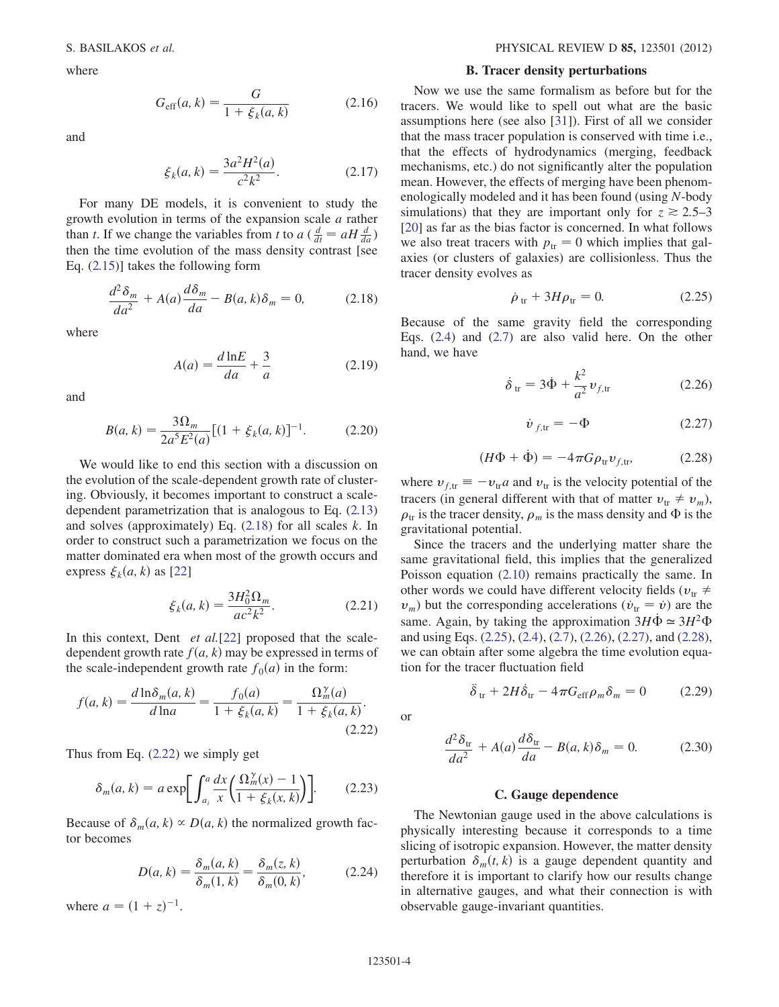where

$$
G_{\rm eff}(a,k) = \frac{G}{1 + \xi_k(a,k)}
$$
 (2.16)

and

$$
\xi_k(a,k) = \frac{3a^2H^2(a)}{c^2k^2}.
$$
\n(2.17)

For many DE models, it is convenient to study the growth evolution in terms of the expansion scale a rather than t. If we change the variables from t to a  $\left(\frac{d}{dt} = aH\frac{d}{da}\right)$ <br>then the time evolution of the mass density contrast [see then the time evolution of the mass density contrast [see Eq. ([2.15](#page-2-10))] takes the following form

<span id="page-3-0"></span>
$$
\frac{d^2\delta_m}{da^2} + A(a)\frac{d\delta_m}{da} - B(a,k)\delta_m = 0,
$$
 (2.18)

where

$$
A(a) = \frac{d \ln E}{da} + \frac{3}{a} \tag{2.19}
$$

and

$$
B(a,k) = \frac{3\Omega_m}{2a^5 E^2(a)} [(1 + \xi_k(a,k)]^{-1}.
$$
 (2.20)

We would like to end this section with a discussion on the evolution of the scale-dependent growth rate of clustering. Obviously, it becomes important to construct a scaledependent parametrization that is analogous to Eq. ([2.13\)](#page-2-8) and solves (approximately) Eq. [\(2.18\)](#page-3-0) for all scales k. In order to construct such a parametrization we focus on the matter dominated era when most of the growth occurs and express  $\xi_k(a, k)$  as [[22](#page-10-8)]

$$
\xi_k(a,k) = \frac{3H_0^2 \Omega_m}{ac^2 k^2}.
$$
\n(2.21)

<span id="page-3-1"></span>In this context, Dent *et al.*[[22](#page-10-8)] proposed that the scaledependent growth rate  $f(a, k)$  may be expressed in terms of the scale-independent growth rate  $f_0(a)$  in the form:

$$
f(a,k) = \frac{d \ln \delta_m(a,k)}{d \ln a} = \frac{f_0(a)}{1 + \xi_k(a,k)} = \frac{\Omega_m^{\gamma}(a)}{1 + \xi_k(a,k)}.
$$
\n(2.22)

<span id="page-3-7"></span>Thus from Eq. [\(2.22\)](#page-3-1) we simply get

$$
\delta_m(a,k) = a \exp \left[ \int_{a_i}^a \frac{dx}{x} \left( \frac{\Omega_m^{\gamma}(x) - 1}{1 + \xi_k(x,k)} \right) \right].
$$
 (2.23)

<span id="page-3-8"></span>Because of  $\delta_m(a, k) \propto D(a, k)$  the normalized growth factor becomes

$$
D(a, k) = \frac{\delta_m(a, k)}{\delta_m(1, k)} = \frac{\delta_m(z, k)}{\delta_m(0, k)},
$$
 (2.24)

where  $a = (1 + z)^{-1}$ .

### B. Tracer density perturbations

Now we use the same formalism as before but for the tracers. We would like to spell out what are the basic assumptions here (see also [\[31\]](#page-10-15)). First of all we consider that the mass tracer population is conserved with time i.e., that the effects of hydrodynamics (merging, feedback mechanisms, etc.) do not significantly alter the population mean. However, the effects of merging have been phenomenologically modeled and it has been found (using N-body simulations) that they are important only for  $z \ge 2.5-3$ [\[20\]](#page-10-0) as far as the bias factor is concerned. In what follows we also treat tracers with  $p_{tr} = 0$  which implies that galaxies (or clusters of galaxies) are collisionless. Thus the tracer density evolves as

$$
\dot{\rho}_{tr} + 3H\rho_{tr} = 0. \tag{2.25}
$$

<span id="page-3-4"></span><span id="page-3-2"></span>Because of the same gravity field the corresponding Eqs. [\(2.4\)](#page-2-0) and ([2.7](#page-2-3)) are also valid here. On the other hand, we have

$$
\dot{\delta}_{\rm tr} = 3\dot{\Phi} + \frac{k^2}{a^2} v_{f,\rm tr} \tag{2.26}
$$

$$
\dot{v}_{f,\text{tr}} = -\Phi \tag{2.27}
$$

$$
(H\Phi + \dot{\Phi}) = -4\pi G\rho_{\rm tr}v_{f,\rm tr},\qquad(2.28)
$$

<span id="page-3-5"></span><span id="page-3-3"></span>where  $v_{f,tr} \equiv -v_{tr}a$  and  $v_{tr}$  is the velocity potential of the tracers (in general different with that of matter  $v_{tr} \neq v_1$ ) tracers (in general different with that of matter  $v_{tr} \neq v_m$ ),  $\rho_{tr}$  is the tracer density,  $\rho_m$  is the mass density and  $\Phi$  is the gravitational potential.

Since the tracers and the underlying matter share the same gravitational field, this implies that the generalized Poisson equation [\(2.10\)](#page-2-5) remains practically the same. In other words we could have different velocity fields ( $v_{tr} \neq$  $v_m$ ) but the corresponding accelerations ( $\dot{v}_{\rm tr} = \dot{v}$ ) are the same. Again, by taking the approximation  $3H\dot{\Phi} \approx 3H^2\Phi$ <br>and using Eqs. (2.25), (2.4), (2.7), (2.26), (2.27), and (2.28). .<br>İ and using Eqs. [\(2.25](#page-3-2)), ([2.4](#page-2-0)), [\(2.7\)](#page-2-3), ([2.26](#page-3-3)), [\(2.27\)](#page-3-4), and [\(2.28\)](#page-3-5), we can obtain after some algebra the time evolution equation for the tracer fluctuation field

$$
\ddot{\delta}_{tr} + 2H\dot{\delta}_{tr} - 4\pi G_{eff}\rho_m \delta_m = 0 \qquad (2.29)
$$

<span id="page-3-6"></span>or

$$
\frac{d^2\delta_{\text{tr}}}{da^2} + A(a)\frac{d\delta_{\text{tr}}}{da} - B(a,k)\delta_m = 0.
$$
 (2.30)

#### C. Gauge dependence

The Newtonian gauge used in the above calculations is physically interesting because it corresponds to a time slicing of isotropic expansion. However, the matter density perturbation  $\delta_m(t, k)$  is a gauge dependent quantity and therefore it is important to clarify how our results change in alternative gauges, and what their connection is with observable gauge-invariant quantities.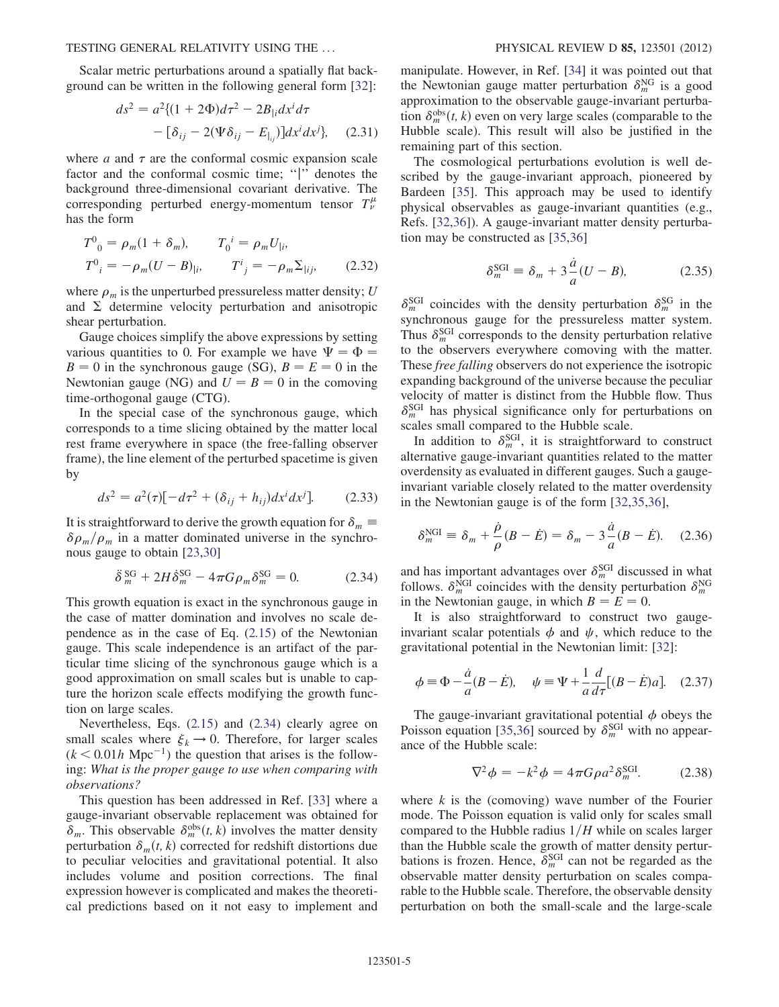Scalar metric perturbations around a spatially flat background can be written in the following general form [\[32\]](#page-10-16):

$$
ds^{2} = a^{2} \{ (1 + 2\Phi)d\tau^{2} - 2B_{|i}dx^{i}d\tau - [\delta_{ij} - 2(\Psi\delta_{ij} - E_{|_{ij}})]dx^{i}dx^{j} \},
$$
 (2.31)

where  $a$  and  $\tau$  are the conformal cosmic expansion scale factor and the conformal cosmic time; "|" denotes the background three-dimensional covariant derivative. The corresponding perturbed energy-momentum tensor  $T^{\mu}_{\nu}$ has the form

$$
T^{0}_{0} = \rho_{m}(1 + \delta_{m}), \qquad T_{0}^{i} = \rho_{m}U_{|i},
$$
  
\n
$$
T^{0}_{i} = -\rho_{m}(U - B)_{|i}, \qquad T^{i}_{j} = -\rho_{m}\Sigma_{|ij}, \qquad (2.32)
$$

where  $\rho_m$  is the unperturbed pressureless matter density; U and  $\Sigma$  determine velocity perturbation and anisotropic shear perturbation.

Gauge choices simplify the above expressions by setting various quantities to 0. For example we have  $\Psi = \Phi =$  $B = 0$  in the synchronous gauge (SG),  $B = E = 0$  in the<br>Newtonian gauge (NG) and  $I = B = 0$  in the comoving Newtonian gauge (NG) and  $U = B = 0$  in the comoving time-orthogonal gauge (CTG).

In the special case of the synchronous gauge, which corresponds to a time slicing obtained by the matter local rest frame everywhere in space (the free-falling observer frame), the line element of the perturbed spacetime is given by

$$
ds^{2} = a^{2}(\tau)[-d\tau^{2} + (\delta_{ij} + h_{ij})dx^{i}dx^{j}].
$$
 (2.33)

<span id="page-4-0"></span>It is straightforward to derive the growth equation for  $\delta_m \equiv \delta q / q$  in a matter dominated universe in the synchro- $\delta \rho_m / \rho_m$  in a matter dominated universe in the synchronous gauge to obtain [[23](#page-10-9),[30](#page-10-14)]

$$
\ddot{\delta}^{\text{SG}}_{m} + 2H\dot{\delta}^{\text{SG}}_{m} - 4\pi G\rho_{m}\delta^{\text{SG}}_{m} = 0. \tag{2.34}
$$

This growth equation is exact in the synchronous gauge in the case of matter domination and involves no scale dependence as in the case of Eq.  $(2.15)$  $(2.15)$  $(2.15)$  of the Newtonian gauge. This scale independence is an artifact of the particular time slicing of the synchronous gauge which is a good approximation on small scales but is unable to capture the horizon scale effects modifying the growth function on large scales.

Nevertheless, Eqs. [\(2.15\)](#page-2-10) and ([2.34](#page-4-0)) clearly agree on small scales where  $\xi_k \to 0$ . Therefore, for larger scales  $(k < 0.01h \text{ Mpc}^{-1})$  the question that arises is the following: What is the proper gauge to use when comparing with observations?

This question has been addressed in Ref. [[33](#page-10-17)] where a gauge-invariant observable replacement was obtained for  $\delta_m$ . This observable  $\delta_m^{\text{obs}}(t, k)$  involves the matter density<br>perturbation  $\delta_t(t, k)$  corrected for redshift distortions due perturbation  $\delta_m(t, k)$  corrected for redshift distortions due to peculiar velocities and gravitational potential. It also includes volume and position corrections. The final expression however is complicated and makes the theoretical predictions based on it not easy to implement and

manipulate. However, in Ref. [[34](#page-10-18)] it was pointed out that the Newtonian gauge matter perturbation  $\delta_m^{\text{NG}}$  is a good approximation to the observable gauge-invariant perturbation  $\delta_m^{\text{obs}}(t, k)$  even on very large scales (comparable to the Hubble scale). This result will also be justified in the Hubble scale). This result will also be justified in the remaining part of this section.

The cosmological perturbations evolution is well described by the gauge-invariant approach, pioneered by Bardeen [\[35](#page-10-19)]. This approach may be used to identify physical observables as gauge-invariant quantities (e.g., Refs. [\[32](#page-10-16)[,36\]](#page-10-20)). A gauge-invariant matter density perturbation may be constructed as [[35](#page-10-19)[,36](#page-10-20)]

$$
\delta_m^{\text{SGI}} \equiv \delta_m + 3 \frac{\dot{a}}{a} (U - B), \tag{2.35}
$$

 $\delta_m^{\text{SGI}}$  coincides with the density perturbation  $\delta_m^{\text{SG}}$  in the synchronous gauge for the pressureless matter system. Thus  $\delta_m^{\text{SGI}}$  corresponds to the density perturbation relative to the observers everywhere comoving with the matter. These free falling observers do not experience the isotropic expanding background of the universe because the peculiar velocity of matter is distinct from the Hubble flow. Thus  $\delta_m^{\text{SGI}}$  has physical significance only for perturbations on scales small compared to the Hubble scale.

In addition to  $\delta_m^{\text{SGI}}$ , it is straightforward to construct alternative gauge-invariant quantities related to the matter overdensity as evaluated in different gauges. Such a gaugeinvariant variable closely related to the matter overdensity in the Newtonian gauge is of the form [\[32](#page-10-16)[,35](#page-10-19)[,36\]](#page-10-20),

$$
\delta_m^{\text{NGI}} \equiv \delta_m + \frac{\dot{\rho}}{\rho} (B - \dot{E}) = \delta_m - 3 \frac{\dot{a}}{a} (B - \dot{E}). \quad (2.36)
$$

and has important advantages over  $\delta_m^{\text{SGI}}$  discussed in what follows.  $\delta_m^{\text{NGI}}$  coincides with the density perturbation  $\delta_m^{\text{NGI}}$ in the Newtonian gauge, in which  $B = E = 0$ .

It is also straightforward to construct two gaugeinvariant scalar potentials  $\phi$  and  $\psi$ , which reduce to the gravitational potential in the Newtonian limit: [\[32\]](#page-10-16):

$$
\phi \equiv \Phi - \frac{\dot{a}}{a}(B - \dot{E}), \quad \psi \equiv \Psi + \frac{1}{a}\frac{d}{d\tau}[(B - \dot{E})a]. \quad (2.37)
$$

The gauge-invariant gravitational potential  $\phi$  obeys the Poisson equation [\[35](#page-10-19)[,36\]](#page-10-20) sourced by  $\delta_m^{\text{SGI}}$  with no appearance of the Hubble scale:

$$
\nabla^2 \phi = -k^2 \phi = 4\pi G \rho a^2 \delta_m^{\text{SGI}}.
$$
 (2.38)

where  $k$  is the (comoving) wave number of the Fourier mode. The Poisson equation is valid only for scales small compared to the Hubble radius  $1/H$  while on scales larger than the Hubble scale the growth of matter density perturbations is frozen. Hence,  $\delta_m^{\text{SGI}}$  can not be regarded as the observable matter density perturbation on scales comparable to the Hubble scale. Therefore, the observable density perturbation on both the small-scale and the large-scale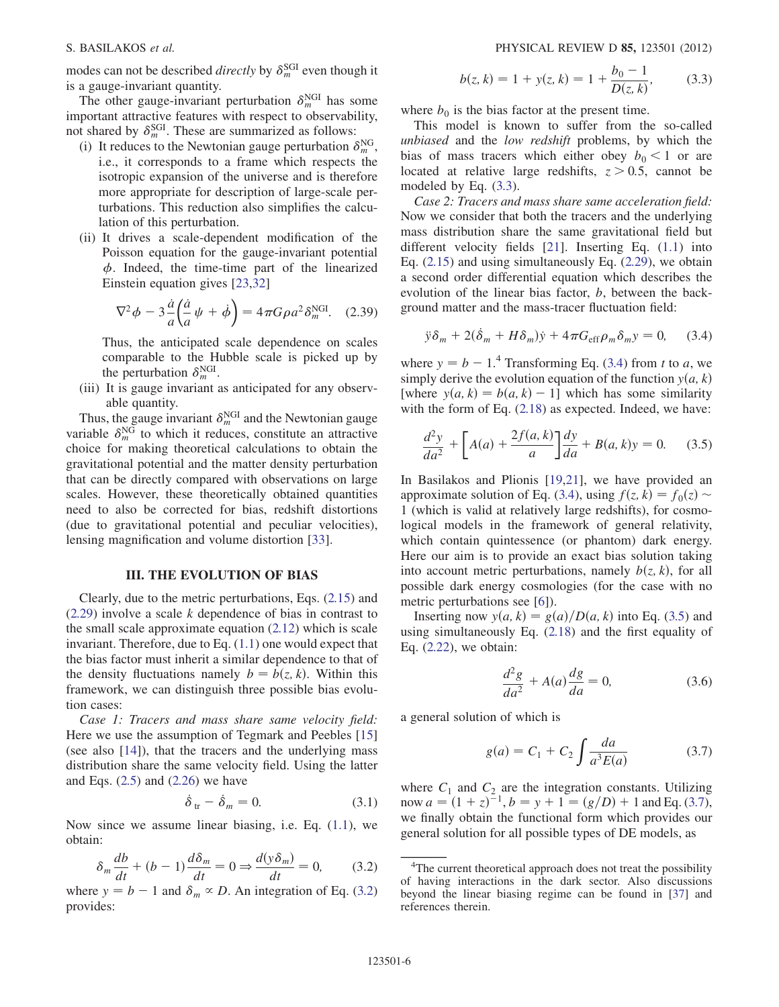modes can not be described *directly* by  $\delta_m^{\text{SGI}}$  even though it is a gauge-invariant quantity.

The other gauge-invariant perturbation  $\delta_m^{\text{NGI}}$  has some important attractive features with respect to observability, not shared by  $\delta_m^{\text{SGI}}$ . These are summarized as follows:

- (i) It reduces to the Newtonian gauge perturbation  $\delta_m^{\text{NG}}$ , i.e., it corresponds to a frame which respects the isotropic expansion of the universe and is therefore more appropriate for description of large-scale perturbations. This reduction also simplifies the calculation of this perturbation.
- (ii) It drives a scale-dependent modification of the Poisson equation for the gauge-invariant potential  $\phi$ . Indeed, the time-time part of the linearized Einstein equation gives [\[23](#page-10-9)[,32\]](#page-10-16)

$$
\nabla^2 \phi - 3 \frac{\dot{a}}{a} \left( \frac{\dot{a}}{a} \psi + \dot{\phi} \right) = 4 \pi G \rho a^2 \delta_m^{\text{NGI}}.
$$
 (2.39)

Thus, the anticipated scale dependence on scales comparable to the Hubble scale is picked up by the perturbation  $\delta_m^{\text{NGI}}$ .

(iii) It is gauge invariant as anticipated for any observable quantity.

Thus, the gauge invariant  $\delta_m^{\text{NGI}}$  and the Newtonian gauge variable  $\delta_m^{\text{NG}}$  to which it reduces, constitute an attractive choice for making theoretical calculations to obtain the gravitational potential and the matter density perturbation that can be directly compared with observations on large scales. However, these theoretically obtained quantities need to also be corrected for bias, redshift distortions (due to gravitational potential and peculiar velocities), lensing magnification and volume distortion [\[33\]](#page-10-17).

## III. THE EVOLUTION OF BIAS

<span id="page-5-0"></span>Clearly, due to the metric perturbations, Eqs. ([2.15\)](#page-2-10) and [\(2.29](#page-3-6)) involve a scale k dependence of bias in contrast to the small scale approximate equation [\(2.12\)](#page-2-9) which is scale invariant. Therefore, due to Eq. [\(1.1\)](#page-0-8) one would expect that the bias factor must inherit a similar dependence to that of the density fluctuations namely  $b = b(z, k)$ . Within this framework, we can distinguish three possible bias evolution cases:

Case 1: Tracers and mass share same velocity field: Here we use the assumption of Tegmark and Peebles [\[15\]](#page-10-21) (see also [\[14\]](#page-10-22)), that the tracers and the underlying mass distribution share the same velocity field. Using the latter and Eqs.  $(2.5)$  $(2.5)$  $(2.5)$  and  $(2.26)$  $(2.26)$  $(2.26)$  we have

$$
\dot{\delta}_{tr} - \dot{\delta}_m = 0. \tag{3.1}
$$

<span id="page-5-1"></span>Now since we assume linear biasing, i.e. Eq. ([1.1](#page-0-8)), we obtain:

$$
\delta_m \frac{db}{dt} + (b - 1) \frac{d\delta_m}{dt} = 0 \Rightarrow \frac{d(y \delta_m)}{dt} = 0, \quad (3.2)
$$

where  $y = b - 1$  and  $\delta_m \propto D$ . An integration of Eq. [\(3.2\)](#page-5-1) provides:

$$
b(z, k) = 1 + y(z, k) = 1 + \frac{b_0 - 1}{D(z, k)},
$$
 (3.3)

<span id="page-5-2"></span>where  $b_0$  is the bias factor at the present time.

This model is known to suffer from the so-called unbiased and the low redshift problems, by which the bias of mass tracers which either obey  $b_0 < 1$  or are located at relative large redshifts,  $z > 0.5$ , cannot be modeled by Eq. [\(3.3\)](#page-5-2).

Case 2: Tracers and mass share same acceleration field: Now we consider that both the tracers and the underlying mass distribution share the same gravitational field but different velocity fields [[21](#page-10-7)]. Inserting Eq. ([1.1\)](#page-0-8) into Eq.  $(2.15)$  $(2.15)$  and using simultaneously Eq.  $(2.29)$  $(2.29)$  $(2.29)$ , we obtain a second order differential equation which describes the evolution of the linear bias factor,  $b$ , between the background matter and the mass-tracer fluctuation field:

<span id="page-5-3"></span>
$$
\ddot{y}\delta_m + 2(\dot{\delta}_m + H\delta_m)\dot{y} + 4\pi G_{\text{eff}}\rho_m\delta_m y = 0, \quad (3.4)
$$

where  $y = b - 1$ .<sup>4</sup> Transforming Eq. ([3.4\)](#page-5-3) from t to a, we simply derive the evolution equation of the function  $y(a, k)$ simply derive the evolution equation of the function  $y(a, k)$ [where  $y(a, k) = b(a, k) - 1$ ] which has some similarity with the form of Eq.  $(2.18)$  $(2.18)$  as expected. Indeed, we have:

<span id="page-5-4"></span>
$$
\frac{d^2y}{da^2} + \left[ A(a) + \frac{2f(a,k)}{a} \right] \frac{dy}{da} + B(a,k)y = 0.
$$
 (3.5)

In Basilakos and Plionis [[19](#page-10-6),[21](#page-10-7)], we have provided an approximate solution of Eq. [\(3.4\)](#page-5-3), using  $f(z, k) = f_0(z) \sim$ 1 (which is valid at relatively large redshifts), for cosmological models in the framework of general relativity, which contain quintessence (or phantom) dark energy. Here our aim is to provide an exact bias solution taking into account metric perturbations, namely  $b(z, k)$ , for all possible dark energy cosmologies (for the case with no metric perturbations see [\[6](#page-9-5)]).

Inserting now  $y(a, k) = g(a)/D(a, k)$  into Eq. ([3.5](#page-5-4)) and using simultaneously Eq. [\(2.18](#page-3-0)) and the first equality of Eq. ([2.22](#page-3-1)), we obtain:

$$
\frac{d^2g}{da^2} + A(a)\frac{dg}{da} = 0,\t(3.6)
$$

<span id="page-5-5"></span>a general solution of which is

$$
g(a) = C_1 + C_2 \int \frac{da}{a^3 E(a)} \tag{3.7}
$$

where  $C_1$  and  $C_2$  are the integration constants. Utilizing now  $a = (1 + z)^{-1}$ ,  $b = y + 1 = (g/D) + 1$  and Eq. [\(3.7\)](#page-5-5),<br>we finally obtain the functional form which provides our we finally obtain the functional form which provides our general solution for all possible types of DE models, as

<sup>&</sup>lt;sup>4</sup>The current theoretical approach does not treat the possibility of having interactions in the dark sector. Also discussions beyond the linear biasing regime can be found in [[37](#page-10-23)] and references therein.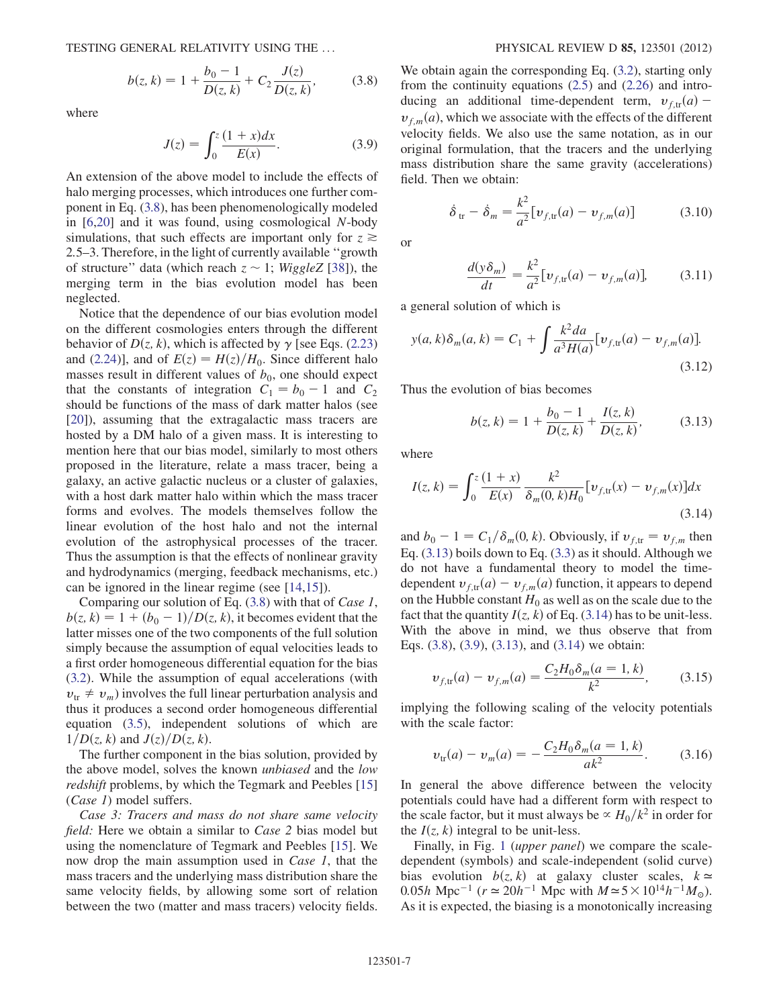$$
b(z,k) = 1 + \frac{b_0 - 1}{D(z,k)} + C_2 \frac{J(z)}{D(z,k)},
$$
 (3.8)

<span id="page-6-3"></span><span id="page-6-0"></span>where

$$
J(z) = \int_0^z \frac{(1+x)dx}{E(x)}.
$$
 (3.9)

An extension of the above model to include the effects of halo merging processes, which introduces one further component in Eq. [\(3.8\)](#page-6-0), has been phenomenologically modeled in [\[6](#page-9-5)[,20](#page-10-0)] and it was found, using cosmological N-body simulations, that such effects are important only for  $z \geq$ 2:5–3. Therefore, in the light of currently available ''growth of structure" data (which reach  $z \sim 1$ ; WiggleZ [[38](#page-10-24)]), the merging term in the bias evolution model has been neglected.

Notice that the dependence of our bias evolution model on the different cosmologies enters through the different behavior of  $D(z, k)$ , which is affected by  $\gamma$  [see Eqs. ([2.23\)](#page-3-7) and [\(2.24\)](#page-3-8)], and of  $E(z) = H(z)/H_0$ . Since different halo masses result in different values of  $b_0$ , one should expect that the constants of integration  $C_1 = b_0 - 1$  and  $C_2$ should be functions of the mass of dark matter halos (see [\[20\]](#page-10-0)), assuming that the extragalactic mass tracers are hosted by a DM halo of a given mass. It is interesting to mention here that our bias model, similarly to most others proposed in the literature, relate a mass tracer, being a galaxy, an active galactic nucleus or a cluster of galaxies, with a host dark matter halo within which the mass tracer forms and evolves. The models themselves follow the linear evolution of the host halo and not the internal evolution of the astrophysical processes of the tracer. Thus the assumption is that the effects of nonlinear gravity and hydrodynamics (merging, feedback mechanisms, etc.) can be ignored in the linear regime (see [\[14,](#page-10-22)[15\]](#page-10-21)).

Comparing our solution of Eq. [\(3.8\)](#page-6-0) with that of Case 1,  $b(z, k) = 1 + (b_0 - 1)/D(z, k)$ , it becomes evident that the latter misses one of the two components of the full solution simply because the assumption of equal velocities leads to a first order homogeneous differential equation for the bias [\(3.2\)](#page-5-1). While the assumption of equal accelerations (with  $v_{tr} \neq v_m$ ) involves the full linear perturbation analysis and thus it produces a second order homogeneous differential equation [\(3.5\)](#page-5-4), independent solutions of which are  $1/D(z, k)$  and  $J(z)/D(z, k)$ .

The further component in the bias solution, provided by the above model, solves the known *unbiased* and the *low* redshift problems, by which the Tegmark and Peebles [\[15\]](#page-10-21) (Case 1) model suffers.

Case 3: Tracers and mass do not share same velocity field: Here we obtain a similar to Case 2 bias model but using the nomenclature of Tegmark and Peebles [\[15\]](#page-10-21). We now drop the main assumption used in *Case 1*, that the mass tracers and the underlying mass distribution share the same velocity fields, by allowing some sort of relation between the two (matter and mass tracers) velocity fields. We obtain again the corresponding Eq.  $(3.2)$  $(3.2)$  $(3.2)$ , starting only from the continuity equations [\(2.5\)](#page-2-1) and ([2.26](#page-3-3)) and introducing an additional time-dependent term,  $v_{f,tr}(a)$  –  $v_{f,m}(a)$ , which we associate with the effects of the different velocity fields. We also use the same notation, as in our original formulation, that the tracers and the underlying mass distribution share the same gravity (accelerations) field. Then we obtain:

$$
\dot{\delta}_{\text{tr}} - \dot{\delta}_m = \frac{k^2}{a^2} [v_{f,\text{tr}}(a) - v_{f,m}(a)] \tag{3.10}
$$

or

$$
\frac{d(y\delta_m)}{dt} = \frac{k^2}{a^2} [v_{f,\text{tr}}(a) - v_{f,m}(a)],
$$
 (3.11)

a general solution of which is

$$
y(a, k)\delta_m(a, k) = C_1 + \int \frac{k^2 da}{a^3 H(a)} [v_{f, tr}(a) - v_{f, m}(a)].
$$
\n(3.12)

<span id="page-6-1"></span>Thus the evolution of bias becomes

$$
b(z,k) = 1 + \frac{b_0 - 1}{D(z,k)} + \frac{I(z,k)}{D(z,k)},
$$
 (3.13)

<span id="page-6-2"></span>where

$$
I(z,k) = \int_0^z \frac{(1+x)}{E(x)} \frac{k^2}{\delta_m(0,k)H_0} [v_{f,\text{tr}}(x) - v_{f,m}(x)] dx
$$
\n(3.14)

and  $b_0 - 1 = C_1/\delta_m(0, k)$ . Obviously, if  $v_{f,tr} = v_{f,m}$  then Eq. ([3.13\)](#page-6-1) boils down to Eq. [\(3.3\)](#page-5-2) as it should. Although we do not have a fundamental theory to model the timedependent  $v_{f,tr}(a) - v_{f,m}(a)$  function, it appears to depend on the Hubble constant  $H_0$  as well as on the scale due to the fact that the quantity  $I(z, k)$  of Eq. [\(3.14](#page-6-2)) has to be unit-less. With the above in mind, we thus observe that from Eqs. ([3.8](#page-6-0)), ([3.9](#page-6-3)), [\(3.13\)](#page-6-1), and ([3.14](#page-6-2)) we obtain:

$$
v_{f,\text{tr}}(a) - v_{f,m}(a) = \frac{C_2 H_0 \delta_m(a=1,k)}{k^2},\tag{3.15}
$$

implying the following scaling of the velocity potentials with the scale factor:

$$
v_{tr}(a) - v_m(a) = -\frac{C_2 H_0 \delta_m(a=1, k)}{ak^2}.
$$
 (3.16)

In general the above difference between the velocity potentials could have had a different form with respect to the scale factor, but it must always be  $\propto H_0/k^2$  in order for the  $I(z, k)$  integral to be unit-less.

Finally, in Fig. [1](#page-7-0) (upper panel) we compare the scaledependent (symbols) and scale-independent (solid curve) bias evolution  $b(z, k)$  at galaxy cluster scales,  $k \approx$ 0.05h Mpc<sup>-1</sup> ( $r \approx 20h^{-1}$  Mpc with  $M \approx 5 \times 10^{14} h^{-1} M_{\odot}$ ). As it is expected, the biasing is a monotonically increasing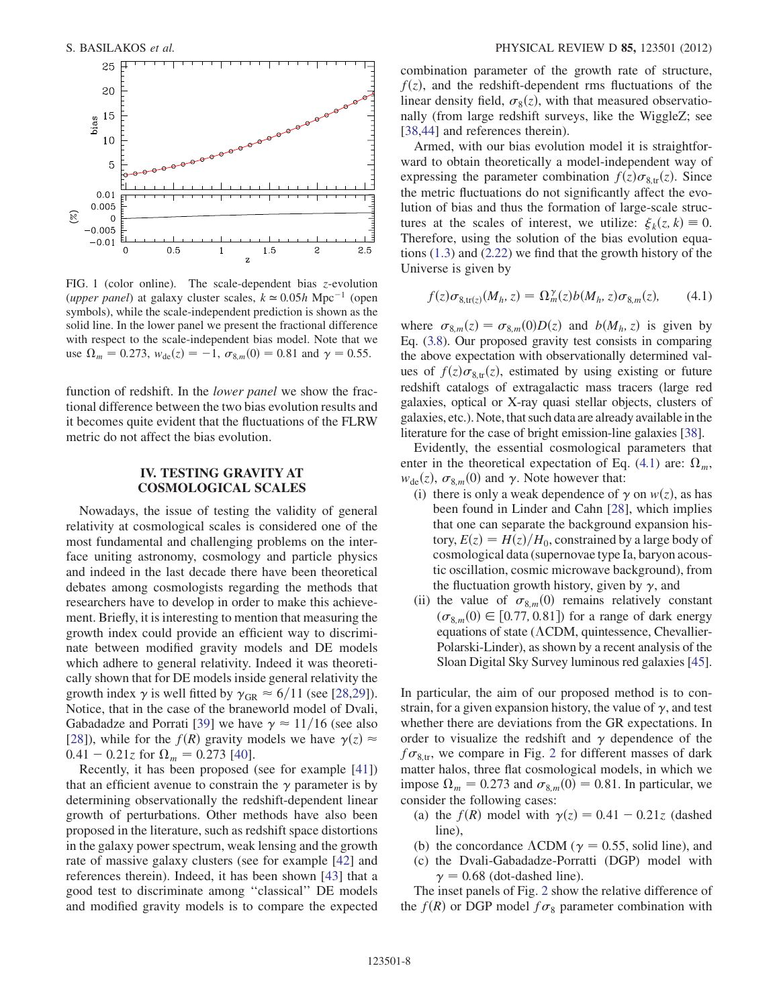<span id="page-7-0"></span>

FIG. 1 (color online). The scale-dependent bias z-evolution (upper panel) at galaxy cluster scales,  $k \approx 0.05h \text{ Mpc}^{-1}$  (open symbols), while the scale-independent prediction is shown as the solid line. In the lower panel we present the fractional difference with respect to the scale-independent bias model. Note that we use  $\Omega_m = 0.273$ ,  $w_{de}(z) = -1$ ,  $\sigma_{8,m}(0) = 0.81$  and  $\gamma = 0.55$ .

function of redshift. In the *lower panel* we show the fractional difference between the two bias evolution results and it becomes quite evident that the fluctuations of the FLRW metric do not affect the bias evolution.

## IV. TESTING GRAVITY AT COSMOLOGICAL SCALES

Nowadays, the issue of testing the validity of general relativity at cosmological scales is considered one of the most fundamental and challenging problems on the interface uniting astronomy, cosmology and particle physics and indeed in the last decade there have been theoretical debates among cosmologists regarding the methods that researchers have to develop in order to make this achievement. Briefly, it is interesting to mention that measuring the growth index could provide an efficient way to discriminate between modified gravity models and DE models which adhere to general relativity. Indeed it was theoretically shown that for DE models inside general relativity the growth index  $\gamma$  is well fitted by  $\gamma_{\text{GR}} \approx 6/11$  (see [[28](#page-10-13)[,29](#page-10-12)]). Notice, that in the case of the braneworld model of Dvali, Gabadadze and Porrati [[39](#page-10-25)] we have  $\gamma \approx 11/16$  (see also [\[28\]](#page-10-13)), while for the  $f(R)$  gravity models we have  $\gamma(z) \approx$  $0.41 - 0.21z$  for  $\Omega_m = 0.273$  [\[40\]](#page-10-26).

Recently, it has been proposed (see for example [[41](#page-10-27)]) that an efficient avenue to constrain the  $\gamma$  parameter is by determining observationally the redshift-dependent linear growth of perturbations. Other methods have also been proposed in the literature, such as redshift space distortions in the galaxy power spectrum, weak lensing and the growth rate of massive galaxy clusters (see for example [[42](#page-10-28)] and references therein). Indeed, it has been shown [[43](#page-10-29)] that a good test to discriminate among ''classical'' DE models and modified gravity models is to compare the expected combination parameter of the growth rate of structure,  $f(z)$ , and the redshift-dependent rms fluctuations of the linear density field,  $\sigma_8(z)$ , with that measured observatio-<br>nally (from large redshift surveys, like the WiggleZ: see nally (from large redshift surveys, like the WiggleZ; see [\[38](#page-10-24)[,44\]](#page-10-30) and references therein).

Armed, with our bias evolution model it is straightforward to obtain theoretically a model-independent way of expressing the parameter combination  $f(z)\sigma_{8,\text{tr}}(z)$ . Since<br>the metric fluctuations do not significantly affect the evothe metric fluctuations do not significantly affect the evolution of bias and thus the formation of large-scale structures at the scales of interest, we utilize:  $\xi_k(z, k) \equiv 0$ .<br>Therefore using the solution of the bias evolution equa-Therefore, using the solution of the bias evolution equations [\(1.3](#page-1-1)) and ([2.22](#page-3-1)) we find that the growth history of the Universe is given by

<span id="page-7-1"></span>
$$
f(z)\sigma_{8,\text{tr}(z)}(M_h, z) = \Omega_m^{\gamma}(z)b(M_h, z)\sigma_{8,m}(z), \qquad (4.1)
$$

where  $\sigma_{8,m}(z) = \sigma_{8,m}(0)D(z)$  and  $b(M_h, z)$  is given by<br>Eq. (3.8) Our proposed gravity test consists in comparing Eq. [\(3.8](#page-6-0)). Our proposed gravity test consists in comparing the above expectation with observationally determined values of  $f(z)\sigma_{8,\text{tr}}(z)$ , estimated by using existing or future<br>redshift catalogs of extragalactic mass tracers (large red redshift catalogs of extragalactic mass tracers (large red galaxies, optical or X-ray quasi stellar objects, clusters of galaxies, etc.). Note, that such data are already available in the literature for the case of bright emission-line galaxies [\[38](#page-10-24)].

Evidently, the essential cosmological parameters that enter in the theoretical expectation of Eq. ([4.1](#page-7-1)) are:  $\Omega_m$ ,  $w_{de}(z)$ ,  $\sigma_{8,m}(0)$  and  $\gamma$ . Note however that:<br>(i) there is only a weak dependence of a

- (i) there is only a weak dependence of  $\gamma$  on  $w(z)$ , as has been found in Linder and Cahn [[28](#page-10-13)], which implies that one can separate the background expansion history,  $E(z) = H(z)/H_0$ , constrained by a large body of cosmological data (supernovae type Ia, baryon acoustic oscillation, cosmic microwave background), from the fluctuation growth history, given by  $\gamma$ , and
- (ii) the value of  $\sigma_{8,m}(0)$  remains relatively constant  $(\sigma_6, (0) \in [0.77, 0.81])$  for a range of dark energy  $(\sigma_{8,m}(0) \in [0.77, 0.81])$  for a range of dark energy<br>equations of state (ACDM quintessence Chevallierequations of state ( $\Lambda$ CDM, quintessence, Chevallier-Polarski-Linder), as shown by a recent analysis of the Sloan Digital Sky Survey luminous red galaxies [[45](#page-10-31)].

In particular, the aim of our proposed method is to constrain, for a given expansion history, the value of  $\gamma$ , and test whether there are deviations from the GR expectations. In order to visualize the redshift and  $\gamma$  dependence of the  $f\sigma_{8,\text{tr}}$ , we compare in Fig. [2](#page-8-1) for different masses of dark matter halos, three flat cosmological models, in which we impose  $\Omega_m = 0.273$  and  $\sigma_{8,m}(0) = 0.81$ . In particular, we consider the following cases: consider the following cases:

- (a) the  $f(R)$  model with  $\gamma(z) = 0.41 0.21z$  (dashed line),
- (b) the concordance  $\Lambda$ CDM ( $\gamma = 0.55$ , solid line), and
- (c) the Dvali-Gabadadze-Porratti (DGP) model with  $\gamma = 0.68$  (dot-dashed line).

The inset panels of Fig. [2](#page-8-1) show the relative difference of the  $f(R)$  or DGP model  $f\sigma_8$  parameter combination with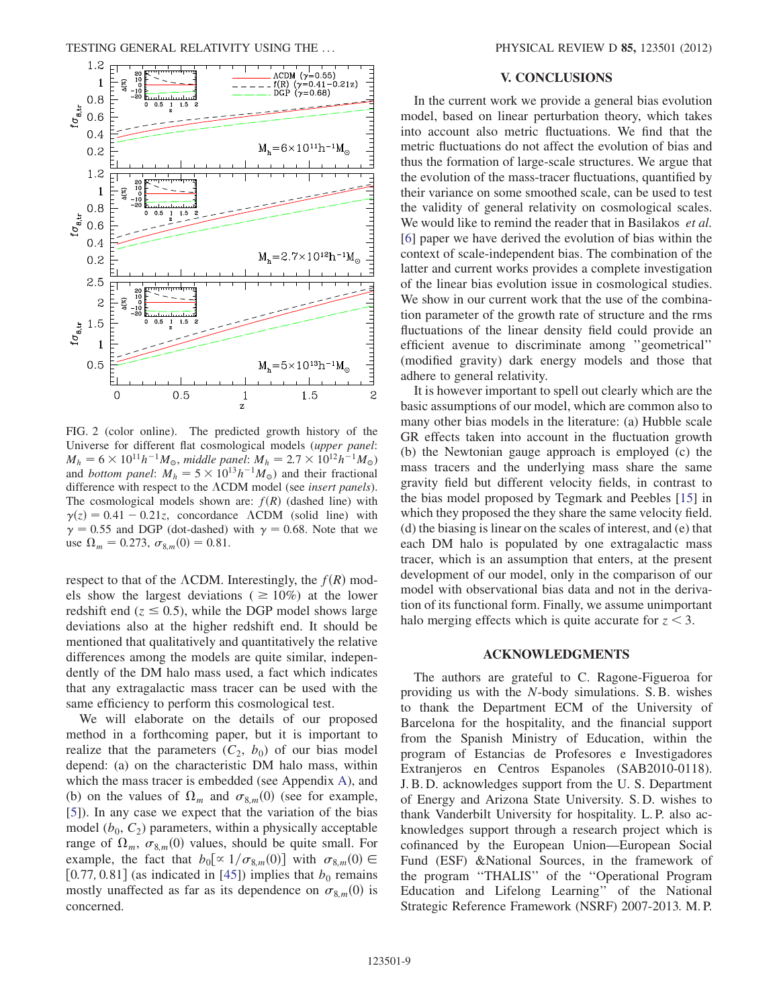<span id="page-8-1"></span>

FIG. 2 (color online). The predicted growth history of the Universe for different flat cosmological models (upper panel:  $M_h = 6 \times 10^{11} h^{-1} M_{\odot}$ , middle panel:  $M_h = 2.7 \times 10^{12} h^{-1} M_{\odot}$ ) and bottom panel:  $M_h = 5 \times 10^{13} h^{-1} M_{\odot}$ ) and their fractional difference with respect to the  $\Lambda$ CDM model (see insert panels). The cosmological models shown are:  $f(R)$  (dashed line) with  $\gamma(z) = 0.41 - 0.21z$ , concordance  $\Lambda$ CDM (solid line) with  $\gamma = 0.55$  and DGP (dot-dashed) with  $\gamma = 0.68$ . Note that we use  $\Omega_m = 0.273$ ,  $\sigma_{8,m}(0) = 0.81$ .

respect to that of the  $\Lambda$ CDM. Interestingly, the  $f(R)$  models show the largest deviations ( $\geq 10\%$ ) at the lower redshift end ( $z \le 0.5$ ), while the DGP model shows large<br>deviations also at the higher redshift end. It should be deviations also at the higher redshift end. It should be mentioned that qualitatively and quantitatively the relative differences among the models are quite similar, independently of the DM halo mass used, a fact which indicates that any extragalactic mass tracer can be used with the same efficiency to perform this cosmological test.

We will elaborate on the details of our proposed method in a forthcoming paper, but it is important to realize that the parameters  $(C_2, b_0)$  of our bias model depend: (a) on the characteristic DM halo mass, within which the mass tracer is embedded (see Appendix [A](#page-9-11)), and (b) on the values of  $\Omega_m$  and  $\sigma_{8,m}(0)$  (see for example,<br>(51) In any case we expect that the variation of the bias [\[5\]](#page-9-4)). In any case we expect that the variation of the bias model  $(b_0, C_2)$  parameters, within a physically acceptable range of  $\Omega_m$ ,  $\sigma_{8,m}(0)$  values, should be quite small. For example, the fact that  $h_2[\alpha]$   $(\alpha_2, (0)]$  with  $\sigma_2$ ,  $(0) \in$ example, the fact that  $b_0 \propto 1/\sigma_{8,m}(0)$  with  $\sigma_{8,m}(0) \in$ <br>[0.77.0.81] (as indicated in [451) implies that *h*, remains [0.77, 0.81] (as indicated in [[45](#page-10-31)]) implies that  $b_0$  remains mostly unaffected as far as its dependence on  $\sigma_{8,m}(0)$  is concerned concerned.

## V. CONCLUSIONS

<span id="page-8-0"></span>In the current work we provide a general bias evolution model, based on linear perturbation theory, which takes into account also metric fluctuations. We find that the metric fluctuations do not affect the evolution of bias and thus the formation of large-scale structures. We argue that the evolution of the mass-tracer fluctuations, quantified by their variance on some smoothed scale, can be used to test the validity of general relativity on cosmological scales. We would like to remind the reader that in Basilakos et al. [\[6\]](#page-9-5) paper we have derived the evolution of bias within the context of scale-independent bias. The combination of the latter and current works provides a complete investigation of the linear bias evolution issue in cosmological studies. We show in our current work that the use of the combination parameter of the growth rate of structure and the rms fluctuations of the linear density field could provide an efficient avenue to discriminate among ''geometrical'' (modified gravity) dark energy models and those that adhere to general relativity.

It is however important to spell out clearly which are the basic assumptions of our model, which are common also to many other bias models in the literature: (a) Hubble scale GR effects taken into account in the fluctuation growth (b) the Newtonian gauge approach is employed (c) the mass tracers and the underlying mass share the same gravity field but different velocity fields, in contrast to the bias model proposed by Tegmark and Peebles [[15\]](#page-10-21) in which they proposed the they share the same velocity field. (d) the biasing is linear on the scales of interest, and (e) that each DM halo is populated by one extragalactic mass tracer, which is an assumption that enters, at the present development of our model, only in the comparison of our model with observational bias data and not in the derivation of its functional form. Finally, we assume unimportant halo merging effects which is quite accurate for  $z < 3$ .

#### ACKNOWLEDGMENTS

The authors are grateful to C. Ragone-Figueroa for providing us with the N-body simulations. S. B. wishes to thank the Department ECM of the University of Barcelona for the hospitality, and the financial support from the Spanish Ministry of Education, within the program of Estancias de Profesores e Investigadores Extranjeros en Centros Espanoles (SAB2010-0118). J. B. D. acknowledges support from the U. S. Department of Energy and Arizona State University. S. D. wishes to thank Vanderbilt University for hospitality. L. P. also acknowledges support through a research project which is cofinanced by the European Union—European Social Fund (ESF) &National Sources, in the framework of the program ''THALIS'' of the ''Operational Program Education and Lifelong Learning'' of the National Strategic Reference Framework (NSRF) 2007-2013. M. P.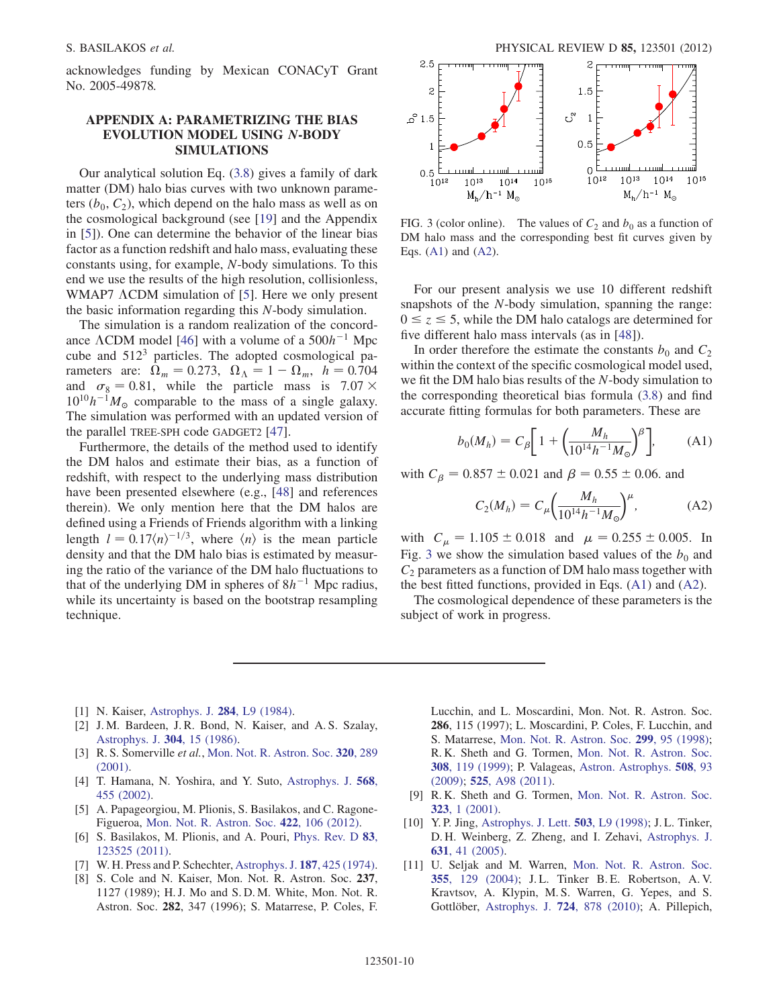acknowledges funding by Mexican CONACyT Grant No. 2005-49878.

# <span id="page-9-11"></span>APPENDIX A: PARAMETRIZING THE BIAS EVOLUTION MODEL USING *N*-BODY SIMULATIONS

Our analytical solution Eq. ([3.8](#page-6-0)) gives a family of dark matter (DM) halo bias curves with two unknown parameters  $(b_0, C_2)$ , which depend on the halo mass as well as on the cosmological background (see [[19](#page-10-6)] and the Appendix in [[5](#page-9-4)]). One can determine the behavior of the linear bias factor as a function redshift and halo mass, evaluating these constants using, for example, N-body simulations. To this end we use the results of the high resolution, collisionless, WMAP7  $\Lambda$ CDM simulation of [\[5](#page-9-4)]. Here we only present the basic information regarding this N-body simulation.

The simulation is a random realization of the concordance  $\Lambda$ CDM model [\[46\]](#page-10-32) with a volume of a 500 $h^{-1}$  Mpc cube and 5123 particles. The adopted cosmological parameters are:  $\Omega_m = 0.273$ ,  $\Omega_{\Lambda} = 1 - \Omega_m$ ,  $h = 0.704$ and  $\sigma_8 = 0.81$ , while the particle mass is  $7.07 \times 10^{10} h^{-1} M_e$  comparable to the mass of a single galaxy  $10^{10}h^{-1}M_{\odot}$  comparable to the mass of a single galaxy. The simulation was performed with an updated version of the parallel TREE-SPH code GADGET2 [\[47\]](#page-10-33).

Furthermore, the details of the method used to identify the DM halos and estimate their bias, as a function of redshift, with respect to the underlying mass distribution have been presented elsewhere (e.g., [\[48\]](#page-10-34) and references therein). We only mention here that the DM halos are defined using a Friends of Friends algorithm with a linking length  $l = 0.17(n)^{-1/3}$ , where  $\langle n \rangle$  is the mean particle<br>density and that the DM halo bias is estimated by measurdensity and that the DM halo bias is estimated by measuring the ratio of the variance of the DM halo fluctuations to that of the underlying DM in spheres of  $8h^{-1}$  Mpc radius, while its uncertainty is based on the bootstrap resampling technique.

<span id="page-9-12"></span>

FIG. 3 (color online). The values of  $C_2$  and  $b_0$  as a function of DM halo mass and the corresponding best fit curves given by Eqs. ([A1](#page-9-13)) and [\(A2\)](#page-9-14).

For our present analysis we use 10 different redshift snapshots of the N-body simulation, spanning the range:  $0 \le z \le 5$ , while the DM halo catalogs are determined for five different halo mass intervals (as in [48]) five different halo mass intervals (as in [\[48\]](#page-10-34)).

In order therefore the estimate the constants  $b_0$  and  $C_2$ within the context of the specific cosmological model used, we fit the DM halo bias results of the N-body simulation to the corresponding theoretical bias formula ([3.8](#page-6-0)) and find accurate fitting formulas for both parameters. These are

<span id="page-9-13"></span>
$$
b_0(M_h) = C_{\beta} \bigg[ 1 + \bigg( \frac{M_h}{10^{14} h^{-1} M_{\odot}} \bigg)^{\beta} \bigg], \tag{A1}
$$

<span id="page-9-14"></span>with  $C_{\beta} = 0.857 \pm 0.021$  and  $\beta = 0.55 \pm 0.06$ . and

$$
C_2(M_h) = C_\mu \left(\frac{M_h}{10^{14}h^{-1}M_\odot}\right)^{\mu},\tag{A2}
$$

with  $C_{\mu} = 1.105 \pm 0.018$  and  $\mu = 0.255 \pm 0.005$ . In Fig. [3](#page-9-12) we show the simulation based values of the  $b_0$  and  $C<sub>2</sub>$  parameters as a function of DM halo mass together with the best fitted functions, provided in Eqs. [\(A1\)](#page-9-13) and [\(A2\)](#page-9-14).

The cosmological dependence of these parameters is the subject of work in progress.

- <span id="page-9-0"></span>[1] N. Kaiser, [Astrophys. J.](http://dx.doi.org/10.1086/184341) **284**, L9 (1984).
- <span id="page-9-1"></span>[2] J. M. Bardeen, J. R. Bond, N. Kaiser, and A. S. Szalay, [Astrophys. J.](http://dx.doi.org/10.1086/164143) 304, 15 (1986).
- <span id="page-9-2"></span>[3] R. S. Somerville et al., [Mon. Not. R. Astron. Soc.](http://dx.doi.org/10.1046/j.1365-8711.2001.03894.x) 320, 289 [\(2001\)](http://dx.doi.org/10.1046/j.1365-8711.2001.03894.x).
- <span id="page-9-3"></span>[4] T. Hamana, N. Yoshira, and Y. Suto, [Astrophys. J.](http://dx.doi.org/10.1086/338970) 568, [455 \(2002\)](http://dx.doi.org/10.1086/338970).
- <span id="page-9-4"></span>[5] A. Papageorgiou, M. Plionis, S. Basilakos, and C. Ragone-Figueroa, [Mon. Not. R. Astron. Soc.](http://dx.doi.org/10.1111/j.1365-2966.2012.20559.x) 422, 106 (2012).
- <span id="page-9-5"></span>[6] S. Basilakos, M. Plionis, and A. Pouri, [Phys. Rev. D](http://dx.doi.org/10.1103/PhysRevD.83.123525) 83, [123525 \(2011\)](http://dx.doi.org/10.1103/PhysRevD.83.123525).
- <span id="page-9-6"></span>[7] W. H. Press and P. Schechter, [Astrophys. J.](http://dx.doi.org/10.1086/152650) 187, 425 (1974).
- <span id="page-9-7"></span>[8] S. Cole and N. Kaiser, Mon. Not. R. Astron. Soc. 237, 1127 (1989); H. J. Mo and S. D. M. White, Mon. Not. R. Astron. Soc. 282, 347 (1996); S. Matarrese, P. Coles, F.

Lucchin, and L. Moscardini, Mon. Not. R. Astron. Soc. 286, 115 (1997); L. Moscardini, P. Coles, F. Lucchin, and S. Matarrese, [Mon. Not. R. Astron. Soc.](http://dx.doi.org/10.1046/j.1365-8711.1998.01728.x) 299, 95 (1998); R. K. Sheth and G. Tormen, [Mon. Not. R. Astron. Soc.](http://dx.doi.org/10.1046/j.1365-8711.1999.02692.x) 308[, 119 \(1999\);](http://dx.doi.org/10.1046/j.1365-8711.1999.02692.x) P. Valageas, [Astron. Astrophys.](http://dx.doi.org/10.1051/0004-6361/200912486) 508, 93 [\(2009\)](http://dx.doi.org/10.1051/0004-6361/200912486); 525[, A98 \(2011\).](http://dx.doi.org/10.1051/0004-6361/201015699)

- <span id="page-9-8"></span>[9] R. K. Sheth and G. Tormen, [Mon. Not. R. Astron. Soc.](http://dx.doi.org/10.1046/j.1365-8711.2001.04006.x) 323[, 1 \(2001\)](http://dx.doi.org/10.1046/j.1365-8711.2001.04006.x).
- <span id="page-9-9"></span>[10] Y. P. Jing, [Astrophys. J. Lett.](http://dx.doi.org/10.1086/311530) 503, L9 (1998); J. L. Tinker, D. H. Weinberg, Z. Zheng, and I. Zehavi, [Astrophys. J.](http://dx.doi.org/10.1086/432084) 631[, 41 \(2005\)](http://dx.doi.org/10.1086/432084).
- <span id="page-9-10"></span>[11] U. Seljak and M. Warren, [Mon. Not. R. Astron. Soc.](http://dx.doi.org/10.1111/j.1365-2966.2004.08297.x) 355[, 129 \(2004\)](http://dx.doi.org/10.1111/j.1365-2966.2004.08297.x); J.L. Tinker B.E. Robertson, A.V. Kravtsov, A. Klypin, M. S. Warren, G. Yepes, and S. Gottlöber, [Astrophys. J.](http://dx.doi.org/10.1088/0004-637X/724/2/878) 724, 878 (2010); A. Pillepich,